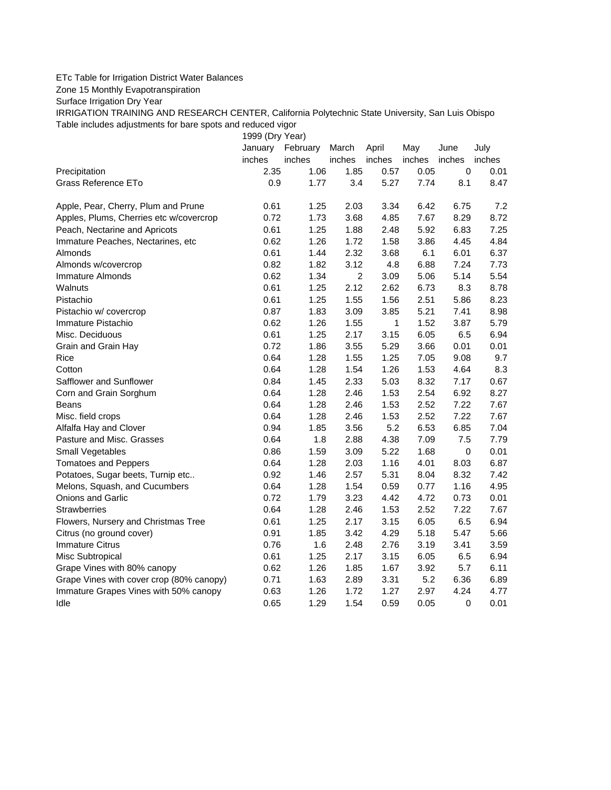## ETc Table for Irrigation District Water Balances

Zone 15 Monthly Evapotranspiration

Surface Irrigation Dry Year

IRRIGATION TRAINING AND RESEARCH CENTER, California Polytechnic State University, San Luis Obispo Table includes adjustments for bare spots and reduced vigor

1999 (Dry Year)

|                                          | January | February | March          | April  | May    | June             | July   |
|------------------------------------------|---------|----------|----------------|--------|--------|------------------|--------|
|                                          | inches  | inches   | inches         | inches | inches | inches           | inches |
| Precipitation                            | 2.35    | 1.06     | 1.85           | 0.57   | 0.05   | $\boldsymbol{0}$ | 0.01   |
| Grass Reference ETo                      | 0.9     | 1.77     | 3.4            | 5.27   | 7.74   | 8.1              | 8.47   |
| Apple, Pear, Cherry, Plum and Prune      | 0.61    | 1.25     | 2.03           | 3.34   | 6.42   | 6.75             | 7.2    |
| Apples, Plums, Cherries etc w/covercrop  | 0.72    | 1.73     | 3.68           | 4.85   | 7.67   | 8.29             | 8.72   |
| Peach, Nectarine and Apricots            | 0.61    | 1.25     | 1.88           | 2.48   | 5.92   | 6.83             | 7.25   |
| Immature Peaches, Nectarines, etc        | 0.62    | 1.26     | 1.72           | 1.58   | 3.86   | 4.45             | 4.84   |
| Almonds                                  | 0.61    | 1.44     | 2.32           | 3.68   | 6.1    | 6.01             | 6.37   |
| Almonds w/covercrop                      | 0.82    | 1.82     | 3.12           | 4.8    | 6.88   | 7.24             | 7.73   |
| <b>Immature Almonds</b>                  | 0.62    | 1.34     | $\overline{2}$ | 3.09   | 5.06   | 5.14             | 5.54   |
| Walnuts                                  | 0.61    | 1.25     | 2.12           | 2.62   | 6.73   | 8.3              | 8.78   |
| Pistachio                                | 0.61    | 1.25     | 1.55           | 1.56   | 2.51   | 5.86             | 8.23   |
| Pistachio w/ covercrop                   | 0.87    | 1.83     | 3.09           | 3.85   | 5.21   | 7.41             | 8.98   |
| Immature Pistachio                       | 0.62    | 1.26     | 1.55           | 1      | 1.52   | 3.87             | 5.79   |
| Misc. Deciduous                          | 0.61    | 1.25     | 2.17           | 3.15   | 6.05   | 6.5              | 6.94   |
| Grain and Grain Hay                      | 0.72    | 1.86     | 3.55           | 5.29   | 3.66   | 0.01             | 0.01   |
| Rice                                     | 0.64    | 1.28     | 1.55           | 1.25   | 7.05   | 9.08             | 9.7    |
| Cotton                                   | 0.64    | 1.28     | 1.54           | 1.26   | 1.53   | 4.64             | 8.3    |
| Safflower and Sunflower                  | 0.84    | 1.45     | 2.33           | 5.03   | 8.32   | 7.17             | 0.67   |
| Corn and Grain Sorghum                   | 0.64    | 1.28     | 2.46           | 1.53   | 2.54   | 6.92             | 8.27   |
| Beans                                    | 0.64    | 1.28     | 2.46           | 1.53   | 2.52   | 7.22             | 7.67   |
| Misc. field crops                        | 0.64    | 1.28     | 2.46           | 1.53   | 2.52   | 7.22             | 7.67   |
| Alfalfa Hay and Clover                   | 0.94    | 1.85     | 3.56           | 5.2    | 6.53   | 6.85             | 7.04   |
| Pasture and Misc. Grasses                | 0.64    | 1.8      | 2.88           | 4.38   | 7.09   | 7.5              | 7.79   |
| Small Vegetables                         | 0.86    | 1.59     | 3.09           | 5.22   | 1.68   | 0                | 0.01   |
| <b>Tomatoes and Peppers</b>              | 0.64    | 1.28     | 2.03           | 1.16   | 4.01   | 8.03             | 6.87   |
| Potatoes, Sugar beets, Turnip etc        | 0.92    | 1.46     | 2.57           | 5.31   | 8.04   | 8.32             | 7.42   |
| Melons, Squash, and Cucumbers            | 0.64    | 1.28     | 1.54           | 0.59   | 0.77   | 1.16             | 4.95   |
| Onions and Garlic                        | 0.72    | 1.79     | 3.23           | 4.42   | 4.72   | 0.73             | 0.01   |
| <b>Strawberries</b>                      | 0.64    | 1.28     | 2.46           | 1.53   | 2.52   | 7.22             | 7.67   |
| Flowers, Nursery and Christmas Tree      | 0.61    | 1.25     | 2.17           | 3.15   | 6.05   | 6.5              | 6.94   |
| Citrus (no ground cover)                 | 0.91    | 1.85     | 3.42           | 4.29   | 5.18   | 5.47             | 5.66   |
| <b>Immature Citrus</b>                   | 0.76    | 1.6      | 2.48           | 2.76   | 3.19   | 3.41             | 3.59   |
| Misc Subtropical                         | 0.61    | 1.25     | 2.17           | 3.15   | 6.05   | 6.5              | 6.94   |
| Grape Vines with 80% canopy              | 0.62    | 1.26     | 1.85           | 1.67   | 3.92   | 5.7              | 6.11   |
| Grape Vines with cover crop (80% canopy) | 0.71    | 1.63     | 2.89           | 3.31   | 5.2    | 6.36             | 6.89   |
| Immature Grapes Vines with 50% canopy    | 0.63    | 1.26     | 1.72           | 1.27   | 2.97   | 4.24             | 4.77   |
| Idle                                     | 0.65    | 1.29     | 1.54           | 0.59   | 0.05   | $\Omega$         | 0.01   |